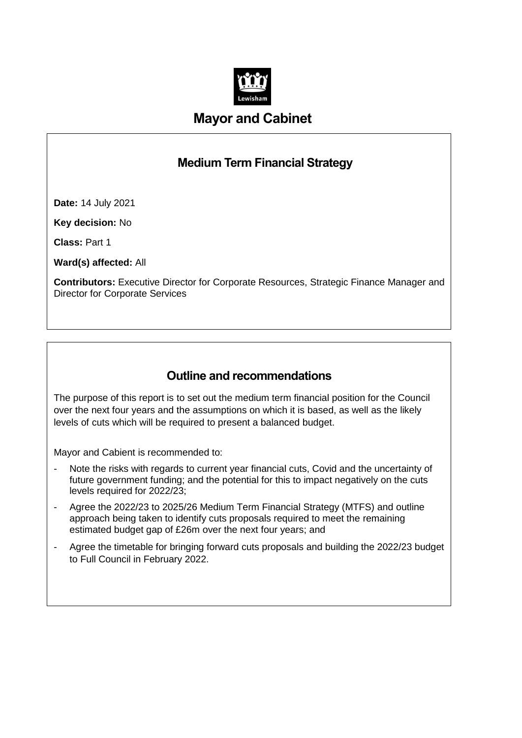

# **Mayor and Cabinet**

# **Medium Term Financial Strategy**

**Date:** 14 July 2021

**Key decision:** No

**Class:** Part 1

**Ward(s) affected:** All

**Contributors:** Executive Director for Corporate Resources, Strategic Finance Manager and Director for Corporate Services

# **Outline and recommendations**

The purpose of this report is to set out the medium term financial position for the Council over the next four years and the assumptions on which it is based, as well as the likely levels of cuts which will be required to present a balanced budget.

Mayor and Cabient is recommended to:

- Note the risks with regards to current year financial cuts, Covid and the uncertainty of future government funding; and the potential for this to impact negatively on the cuts levels required for 2022/23;
- Agree the 2022/23 to 2025/26 Medium Term Financial Strategy (MTFS) and outline approach being taken to identify cuts proposals required to meet the remaining estimated budget gap of £26m over the next four years; and
- Agree the timetable for bringing forward cuts proposals and building the 2022/23 budget to Full Council in February 2022.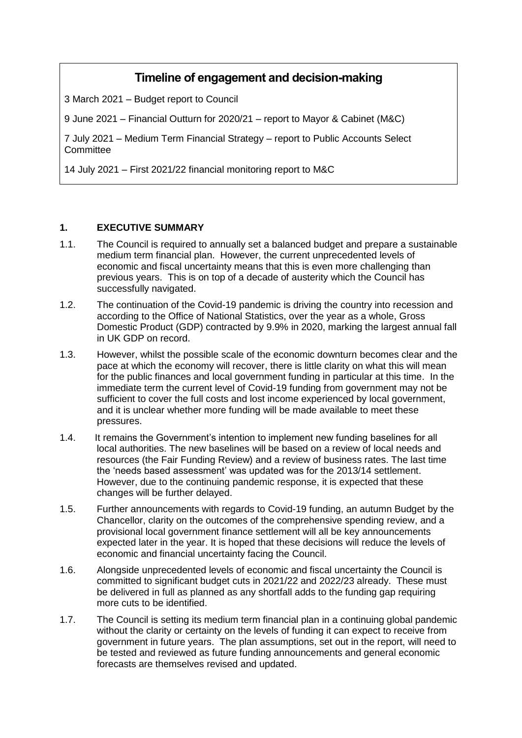# **Timeline of engagement and decision-making**

3 March 2021 – Budget report to Council

9 June 2021 – Financial Outturn for 2020/21 – report to Mayor & Cabinet (M&C)

7 July 2021 – Medium Term Financial Strategy – report to Public Accounts Select **Committee** 

14 July 2021 – First 2021/22 financial monitoring report to M&C

### **1. EXECUTIVE SUMMARY**

- 1.1. The Council is required to annually set a balanced budget and prepare a sustainable medium term financial plan. However, the current unprecedented levels of economic and fiscal uncertainty means that this is even more challenging than previous years. This is on top of a decade of austerity which the Council has successfully navigated.
- 1.2. The continuation of the Covid-19 pandemic is driving the country into recession and according to the Office of National Statistics, over the year as a whole, Gross Domestic Product (GDP) contracted by 9.9% in 2020, marking the largest annual fall in UK GDP on record.
- 1.3. However, whilst the possible scale of the economic downturn becomes clear and the pace at which the economy will recover, there is little clarity on what this will mean for the public finances and local government funding in particular at this time. In the immediate term the current level of Covid-19 funding from government may not be sufficient to cover the full costs and lost income experienced by local government, and it is unclear whether more funding will be made available to meet these pressures.
- 1.4. It remains the Government's intention to implement new funding baselines for all local authorities. The new baselines will be based on a review of local needs and resources (the Fair Funding Review) and a review of business rates. The last time the 'needs based assessment' was updated was for the 2013/14 settlement. However, due to the continuing pandemic response, it is expected that these changes will be further delayed.
- 1.5. Further announcements with regards to Covid-19 funding, an autumn Budget by the Chancellor, clarity on the outcomes of the comprehensive spending review, and a provisional local government finance settlement will all be key announcements expected later in the year. It is hoped that these decisions will reduce the levels of economic and financial uncertainty facing the Council.
- 1.6. Alongside unprecedented levels of economic and fiscal uncertainty the Council is committed to significant budget cuts in 2021/22 and 2022/23 already. These must be delivered in full as planned as any shortfall adds to the funding gap requiring more cuts to be identified.
- 1.7. The Council is setting its medium term financial plan in a continuing global pandemic without the clarity or certainty on the levels of funding it can expect to receive from government in future years. The plan assumptions, set out in the report, will need to be tested and reviewed as future funding announcements and general economic forecasts are themselves revised and updated.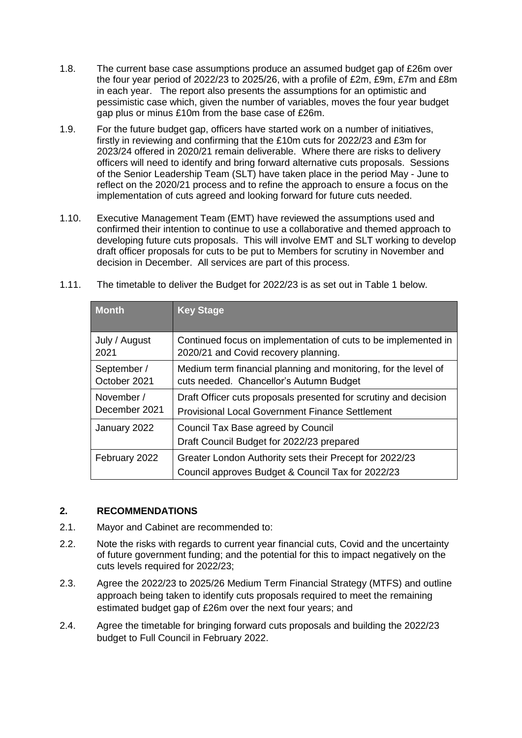- 1.8. The current base case assumptions produce an assumed budget gap of £26m over the four year period of 2022/23 to 2025/26, with a profile of £2m, £9m, £7m and £8m in each year. The report also presents the assumptions for an optimistic and pessimistic case which, given the number of variables, moves the four year budget gap plus or minus £10m from the base case of £26m.
- 1.9. For the future budget gap, officers have started work on a number of initiatives, firstly in reviewing and confirming that the £10m cuts for 2022/23 and £3m for 2023/24 offered in 2020/21 remain deliverable. Where there are risks to delivery officers will need to identify and bring forward alternative cuts proposals. Sessions of the Senior Leadership Team (SLT) have taken place in the period May - June to reflect on the 2020/21 process and to refine the approach to ensure a focus on the implementation of cuts agreed and looking forward for future cuts needed.
- 1.10. Executive Management Team (EMT) have reviewed the assumptions used and confirmed their intention to continue to use a collaborative and themed approach to developing future cuts proposals. This will involve EMT and SLT working to develop draft officer proposals for cuts to be put to Members for scrutiny in November and decision in December. All services are part of this process.

| <b>Month</b>  | <b>Key Stage</b>                                                                                             |
|---------------|--------------------------------------------------------------------------------------------------------------|
| July / August | Continued focus on implementation of cuts to be implemented in                                               |
| 2021          | 2020/21 and Covid recovery planning.                                                                         |
| September /   | Medium term financial planning and monitoring, for the level of                                              |
| October 2021  | cuts needed. Chancellor's Autumn Budget                                                                      |
| November /    | Draft Officer cuts proposals presented for scrutiny and decision                                             |
| December 2021 | <b>Provisional Local Government Finance Settlement</b>                                                       |
| January 2022  | Council Tax Base agreed by Council<br>Draft Council Budget for 2022/23 prepared                              |
| February 2022 | Greater London Authority sets their Precept for 2022/23<br>Council approves Budget & Council Tax for 2022/23 |

1.11. The timetable to deliver the Budget for 2022/23 is as set out in Table 1 below.

#### **2. RECOMMENDATIONS**

- 2.1. Mayor and Cabinet are recommended to:
- 2.2. Note the risks with regards to current year financial cuts, Covid and the uncertainty of future government funding; and the potential for this to impact negatively on the cuts levels required for 2022/23;
- 2.3. Agree the 2022/23 to 2025/26 Medium Term Financial Strategy (MTFS) and outline approach being taken to identify cuts proposals required to meet the remaining estimated budget gap of £26m over the next four years; and
- 2.4. Agree the timetable for bringing forward cuts proposals and building the 2022/23 budget to Full Council in February 2022.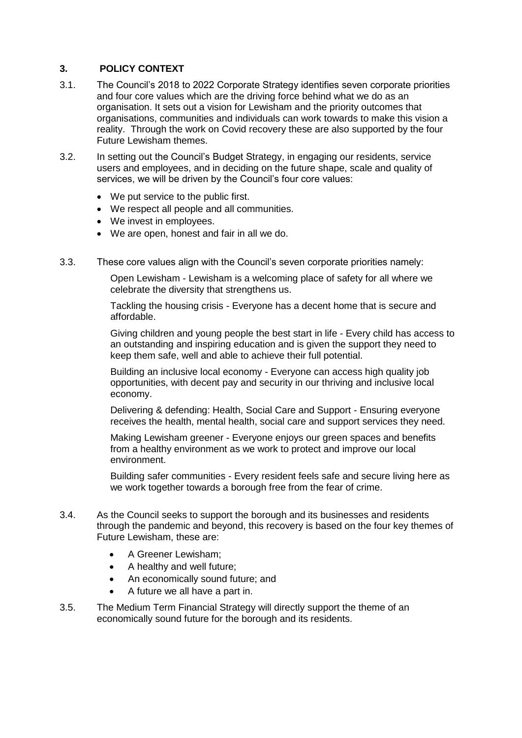### **3. POLICY CONTEXT**

- 3.1. The Council's 2018 to 2022 Corporate Strategy identifies seven corporate priorities and four core values which are the driving force behind what we do as an organisation. It sets out a vision for Lewisham and the priority outcomes that organisations, communities and individuals can work towards to make this vision a reality. Through the work on Covid recovery these are also supported by the four Future Lewisham themes.
- 3.2. In setting out the Council's Budget Strategy, in engaging our residents, service users and employees, and in deciding on the future shape, scale and quality of services, we will be driven by the Council's four core values:
	- We put service to the public first.
	- We respect all people and all communities.
	- We invest in employees.
	- We are open, honest and fair in all we do.
- 3.3. These core values align with the Council's seven corporate priorities namely:

Open Lewisham - Lewisham is a welcoming place of safety for all where we celebrate the diversity that strengthens us.

Tackling the housing crisis - Everyone has a decent home that is secure and affordable.

Giving children and young people the best start in life - Every child has access to an outstanding and inspiring education and is given the support they need to keep them safe, well and able to achieve their full potential.

Building an inclusive local economy - Everyone can access high quality job opportunities, with decent pay and security in our thriving and inclusive local economy.

Delivering & defending: Health, Social Care and Support - Ensuring everyone receives the health, mental health, social care and support services they need.

Making Lewisham greener - Everyone enjoys our green spaces and benefits from a healthy environment as we work to protect and improve our local environment.

Building safer communities - Every resident feels safe and secure living here as we work together towards a borough free from the fear of crime.

- 3.4. As the Council seeks to support the borough and its businesses and residents through the pandemic and beyond, this recovery is based on the four key themes of Future Lewisham, these are:
	- A Greener Lewisham:
	- A healthy and well future;
	- An economically sound future; and
	- A future we all have a part in.
- 3.5. The Medium Term Financial Strategy will directly support the theme of an economically sound future for the borough and its residents.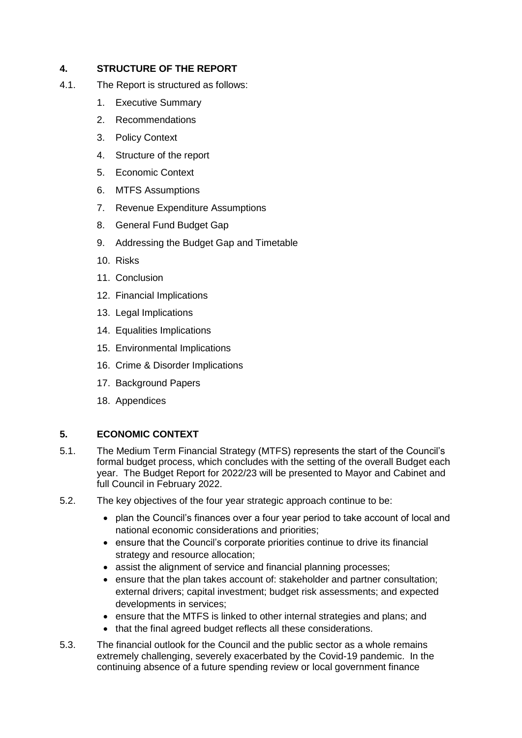# **4. STRUCTURE OF THE REPORT**

- 4.1. The Report is structured as follows:
	- 1. Executive Summary
	- 2. Recommendations
	- 3. Policy Context
	- 4. Structure of the report
	- 5. Economic Context
	- 6. MTFS Assumptions
	- 7. Revenue Expenditure Assumptions
	- 8. General Fund Budget Gap
	- 9. Addressing the Budget Gap and Timetable
	- 10. Risks
	- 11. Conclusion
	- 12. Financial Implications
	- 13. Legal Implications
	- 14. Equalities Implications
	- 15. Environmental Implications
	- 16. Crime & Disorder Implications
	- 17. Background Papers
	- 18. Appendices

# **5. ECONOMIC CONTEXT**

- 5.1. The Medium Term Financial Strategy (MTFS) represents the start of the Council's formal budget process, which concludes with the setting of the overall Budget each year. The Budget Report for 2022/23 will be presented to Mayor and Cabinet and full Council in February 2022.
- 5.2. The key objectives of the four year strategic approach continue to be:
	- plan the Council's finances over a four year period to take account of local and national economic considerations and priorities;
	- ensure that the Council's corporate priorities continue to drive its financial strategy and resource allocation;
	- assist the alignment of service and financial planning processes;
	- ensure that the plan takes account of: stakeholder and partner consultation; external drivers; capital investment; budget risk assessments; and expected developments in services;
	- ensure that the MTFS is linked to other internal strategies and plans; and
	- that the final agreed budget reflects all these considerations.
- 5.3. The financial outlook for the Council and the public sector as a whole remains extremely challenging, severely exacerbated by the Covid-19 pandemic. In the continuing absence of a future spending review or local government finance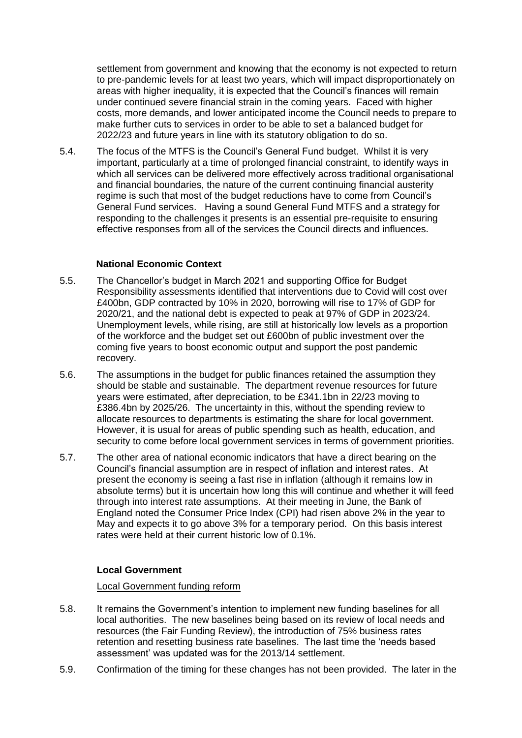settlement from government and knowing that the economy is not expected to return to pre-pandemic levels for at least two years, which will impact disproportionately on areas with higher inequality, it is expected that the Council's finances will remain under continued severe financial strain in the coming years. Faced with higher costs, more demands, and lower anticipated income the Council needs to prepare to make further cuts to services in order to be able to set a balanced budget for 2022/23 and future years in line with its statutory obligation to do so.

5.4. The focus of the MTFS is the Council's General Fund budget. Whilst it is very important, particularly at a time of prolonged financial constraint, to identify ways in which all services can be delivered more effectively across traditional organisational and financial boundaries, the nature of the current continuing financial austerity regime is such that most of the budget reductions have to come from Council's General Fund services. Having a sound General Fund MTFS and a strategy for responding to the challenges it presents is an essential pre-requisite to ensuring effective responses from all of the services the Council directs and influences.

#### **National Economic Context**

- 5.5. The Chancellor's budget in March 2021 and supporting Office for Budget Responsibility assessments identified that interventions due to Covid will cost over £400bn, GDP contracted by 10% in 2020, borrowing will rise to 17% of GDP for 2020/21, and the national debt is expected to peak at 97% of GDP in 2023/24. Unemployment levels, while rising, are still at historically low levels as a proportion of the workforce and the budget set out £600bn of public investment over the coming five years to boost economic output and support the post pandemic recovery.
- 5.6. The assumptions in the budget for public finances retained the assumption they should be stable and sustainable. The department revenue resources for future years were estimated, after depreciation, to be £341.1bn in 22/23 moving to £386.4bn by 2025/26. The uncertainty in this, without the spending review to allocate resources to departments is estimating the share for local government. However, it is usual for areas of public spending such as health, education, and security to come before local government services in terms of government priorities.
- 5.7. The other area of national economic indicators that have a direct bearing on the Council's financial assumption are in respect of inflation and interest rates. At present the economy is seeing a fast rise in inflation (although it remains low in absolute terms) but it is uncertain how long this will continue and whether it will feed through into interest rate assumptions. At their meeting in June, the Bank of England noted the Consumer Price Index (CPI) had risen above 2% in the year to May and expects it to go above 3% for a temporary period. On this basis interest rates were held at their current historic low of 0.1%.

#### **Local Government**

#### Local Government funding reform

- 5.8. It remains the Government's intention to implement new funding baselines for all local authorities. The new baselines being based on its review of local needs and resources (the Fair Funding Review), the introduction of 75% business rates retention and resetting business rate baselines. The last time the 'needs based assessment' was updated was for the 2013/14 settlement.
- 5.9. Confirmation of the timing for these changes has not been provided. The later in the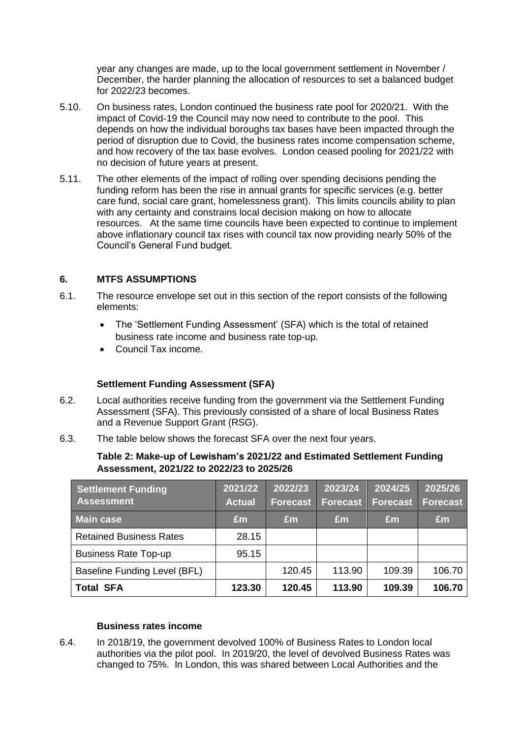year any changes are made, up to the local government settlement in November / December, the harder planning the allocation of resources to set a balanced budget for 2022/23 becomes.

- 5.10. On business rates, London continued the business rate pool for 2020/21. With the impact of Covid-19 the Council may now need to contribute to the pool. This depends on how the individual boroughs tax bases have been impacted through the period of disruption due to Covid, the business rates income compensation scheme, and how recovery of the tax base evolves. London ceased pooling for 2021/22 with no decision of future years at present.
- 5.11. The other elements of the impact of rolling over spending decisions pending the funding reform has been the rise in annual grants for specific services (e.g. better care fund, social care grant, homelessness grant). This limits councils ability to plan with any certainty and constrains local decision making on how to allocate resources. At the same time councils have been expected to continue to implement above inflationary council tax rises with council tax now providing nearly 50% of the Council's General Fund budget.

### **6. MTFS ASSUMPTIONS**

- 6.1. The resource envelope set out in this section of the report consists of the following elements:
	- The 'Settlement Funding Assessment' (SFA) which is the total of retained business rate income and business rate top-up.
	- Council Tax income.

#### **Settlement Funding Assessment (SFA)**

- 6.2. Local authorities receive funding from the government via the Settlement Funding Assessment (SFA). This previously consisted of a share of local Business Rates and a Revenue Support Grant (RSG).
- 6.3. The table below shows the forecast SFA over the next four years.

#### **Table 2: Make-up of Lewisham's 2021/22 and Estimated Settlement Funding Assessment, 2021/22 to 2022/23 to 2025/26**

| <b>Settlement Funding</b><br><b>Assessment</b> | 2021/22<br><b>Actual</b> | 2022/23<br><b>Forecast</b> | 2023/24<br>Forecast | 2024/25<br><b>Forecast</b> | 2025/26<br><b>Forecast</b> |
|------------------------------------------------|--------------------------|----------------------------|---------------------|----------------------------|----------------------------|
| <b>Main case</b>                               | Em                       | Em                         | £m                  | Em                         | Em                         |
| <b>Retained Business Rates</b>                 | 28.15                    |                            |                     |                            |                            |
| <b>Business Rate Top-up</b>                    | 95.15                    |                            |                     |                            |                            |
| Baseline Funding Level (BFL)                   |                          | 120.45                     | 113.90              | 109.39                     | 106.70                     |
| <b>Total SFA</b>                               | 123.30                   | 120.45                     | 113.90              | 109.39                     | 106.70                     |

#### **Business rates income**

6.4. In 2018/19, the government devolved 100% of Business Rates to London local authorities via the pilot pool. In 2019/20, the level of devolved Business Rates was changed to 75%. In London, this was shared between Local Authorities and the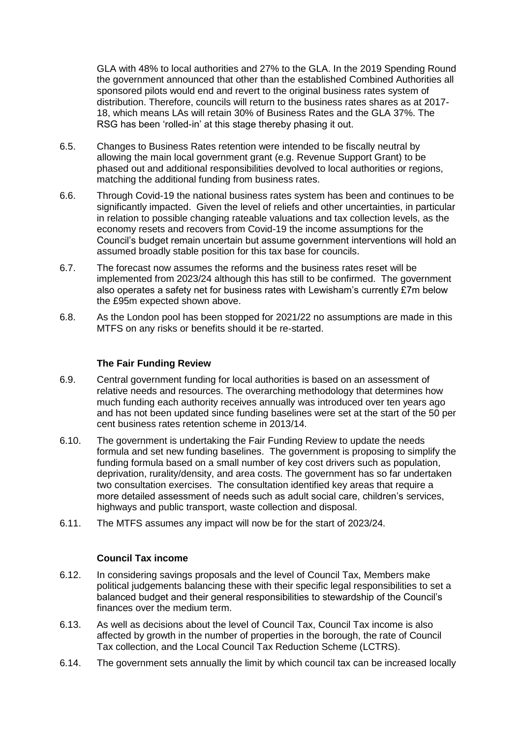GLA with 48% to local authorities and 27% to the GLA. In the 2019 Spending Round the government announced that other than the established Combined Authorities all sponsored pilots would end and revert to the original business rates system of distribution. Therefore, councils will return to the business rates shares as at 2017- 18, which means LAs will retain 30% of Business Rates and the GLA 37%. The RSG has been 'rolled-in' at this stage thereby phasing it out.

- 6.5. Changes to Business Rates retention were intended to be fiscally neutral by allowing the main local government grant (e.g. Revenue Support Grant) to be phased out and additional responsibilities devolved to local authorities or regions, matching the additional funding from business rates.
- 6.6. Through Covid-19 the national business rates system has been and continues to be significantly impacted. Given the level of reliefs and other uncertainties, in particular in relation to possible changing rateable valuations and tax collection levels, as the economy resets and recovers from Covid-19 the income assumptions for the Council's budget remain uncertain but assume government interventions will hold an assumed broadly stable position for this tax base for councils.
- 6.7. The forecast now assumes the reforms and the business rates reset will be implemented from 2023/24 although this has still to be confirmed. The government also operates a safety net for business rates with Lewisham's currently £7m below the £95m expected shown above.
- 6.8. As the London pool has been stopped for 2021/22 no assumptions are made in this MTFS on any risks or benefits should it be re-started.

### **The Fair Funding Review**

- 6.9. Central government funding for local authorities is based on an assessment of relative needs and resources. The overarching methodology that determines how much funding each authority receives annually was introduced over ten years ago and has not been updated since funding baselines were set at the start of the 50 per cent business rates retention scheme in 2013/14.
- 6.10. The government is undertaking the Fair Funding Review to update the needs formula and set new funding baselines. The government is proposing to simplify the funding formula based on a small number of key cost drivers such as population, deprivation, rurality/density, and area costs. The government has so far undertaken two consultation exercises. The consultation identified key areas that require a more detailed assessment of needs such as adult social care, children's services, highways and public transport, waste collection and disposal.
- 6.11. The MTFS assumes any impact will now be for the start of 2023/24.

#### **Council Tax income**

- 6.12. In considering savings proposals and the level of Council Tax, Members make political judgements balancing these with their specific legal responsibilities to set a balanced budget and their general responsibilities to stewardship of the Council's finances over the medium term.
- 6.13. As well as decisions about the level of Council Tax, Council Tax income is also affected by growth in the number of properties in the borough, the rate of Council Tax collection, and the Local Council Tax Reduction Scheme (LCTRS).
- 6.14. The government sets annually the limit by which council tax can be increased locally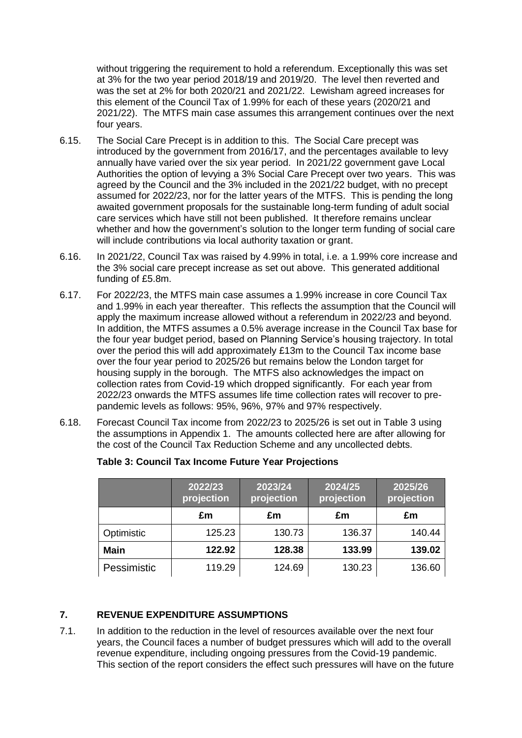without triggering the requirement to hold a referendum. Exceptionally this was set at 3% for the two year period 2018/19 and 2019/20. The level then reverted and was the set at 2% for both 2020/21 and 2021/22. Lewisham agreed increases for this element of the Council Tax of 1.99% for each of these years (2020/21 and 2021/22). The MTFS main case assumes this arrangement continues over the next four years.

- 6.15. The Social Care Precept is in addition to this. The Social Care precept was introduced by the government from 2016/17, and the percentages available to levy annually have varied over the six year period. In 2021/22 government gave Local Authorities the option of levying a 3% Social Care Precept over two years. This was agreed by the Council and the 3% included in the 2021/22 budget, with no precept assumed for 2022/23, nor for the latter years of the MTFS. This is pending the long awaited government proposals for the sustainable long-term funding of adult social care services which have still not been published. It therefore remains unclear whether and how the government's solution to the longer term funding of social care will include contributions via local authority taxation or grant.
- 6.16. In 2021/22, Council Tax was raised by 4.99% in total, i.e. a 1.99% core increase and the 3% social care precept increase as set out above. This generated additional funding of £5.8m.
- 6.17. For 2022/23, the MTFS main case assumes a 1.99% increase in core Council Tax and 1.99% in each year thereafter. This reflects the assumption that the Council will apply the maximum increase allowed without a referendum in 2022/23 and beyond. In addition, the MTFS assumes a 0.5% average increase in the Council Tax base for the four year budget period, based on Planning Service's housing trajectory. In total over the period this will add approximately £13m to the Council Tax income base over the four year period to 2025/26 but remains below the London target for housing supply in the borough. The MTFS also acknowledges the impact on collection rates from Covid-19 which dropped significantly. For each year from 2022/23 onwards the MTFS assumes life time collection rates will recover to prepandemic levels as follows: 95%, 96%, 97% and 97% respectively.
- 6.18. Forecast Council Tax income from 2022/23 to 2025/26 is set out in Table 3 using the assumptions in Appendix 1. The amounts collected here are after allowing for the cost of the Council Tax Reduction Scheme and any uncollected debts.

|             | 2022/23 <br>projection | 2023/24<br>projection | 2024/25<br>projection | 2025/26<br>projection |
|-------------|------------------------|-----------------------|-----------------------|-----------------------|
|             | £m                     | £m                    | £m                    | £m                    |
| Optimistic  | 125.23                 | 130.73                | 136.37                | 140.44                |
| <b>Main</b> | 122.92                 | 128.38                | 133.99                | 139.02                |
| Pessimistic | 119.29                 | 124.69                | 130.23                | 136.60                |

#### **Table 3: Council Tax Income Future Year Projections**

# **7. REVENUE EXPENDITURE ASSUMPTIONS**

7.1. In addition to the reduction in the level of resources available over the next four years, the Council faces a number of budget pressures which will add to the overall revenue expenditure, including ongoing pressures from the Covid-19 pandemic. This section of the report considers the effect such pressures will have on the future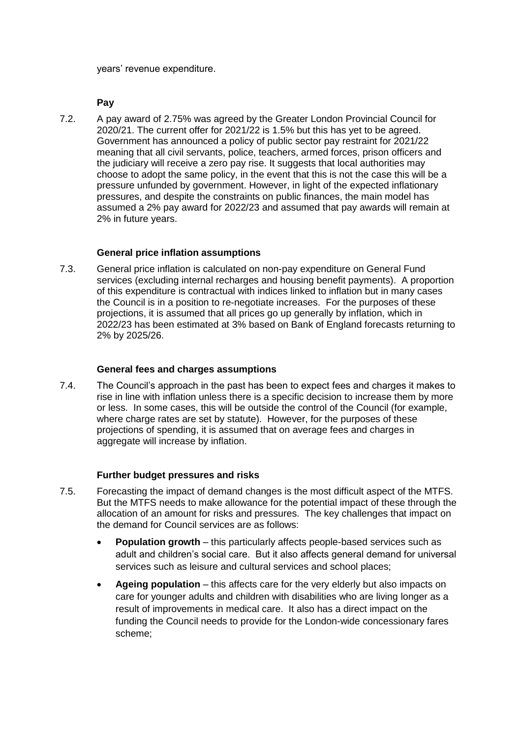years' revenue expenditure.

#### **Pay**

7.2. A pay award of 2.75% was agreed by the Greater London Provincial Council for 2020/21. The current offer for 2021/22 is 1.5% but this has yet to be agreed. Government has announced a policy of public sector pay restraint for 2021/22 meaning that all civil servants, police, teachers, armed forces, prison officers and the judiciary will receive a zero pay rise. It suggests that local authorities may choose to adopt the same policy, in the event that this is not the case this will be a pressure unfunded by government. However, in light of the expected inflationary pressures, and despite the constraints on public finances, the main model has assumed a 2% pay award for 2022/23 and assumed that pay awards will remain at 2% in future years.

### **General price inflation assumptions**

7.3. General price inflation is calculated on non-pay expenditure on General Fund services (excluding internal recharges and housing benefit payments). A proportion of this expenditure is contractual with indices linked to inflation but in many cases the Council is in a position to re-negotiate increases. For the purposes of these projections, it is assumed that all prices go up generally by inflation, which in 2022/23 has been estimated at 3% based on Bank of England forecasts returning to 2% by 2025/26.

#### **General fees and charges assumptions**

7.4. The Council's approach in the past has been to expect fees and charges it makes to rise in line with inflation unless there is a specific decision to increase them by more or less. In some cases, this will be outside the control of the Council (for example, where charge rates are set by statute). However, for the purposes of these projections of spending, it is assumed that on average fees and charges in aggregate will increase by inflation.

# **Further budget pressures and risks**

- 7.5. Forecasting the impact of demand changes is the most difficult aspect of the MTFS. But the MTFS needs to make allowance for the potential impact of these through the allocation of an amount for risks and pressures. The key challenges that impact on the demand for Council services are as follows:
	- **Population growth** this particularly affects people-based services such as adult and children's social care. But it also affects general demand for universal services such as leisure and cultural services and school places;
	- **Ageing population** this affects care for the very elderly but also impacts on care for younger adults and children with disabilities who are living longer as a result of improvements in medical care. It also has a direct impact on the funding the Council needs to provide for the London-wide concessionary fares scheme;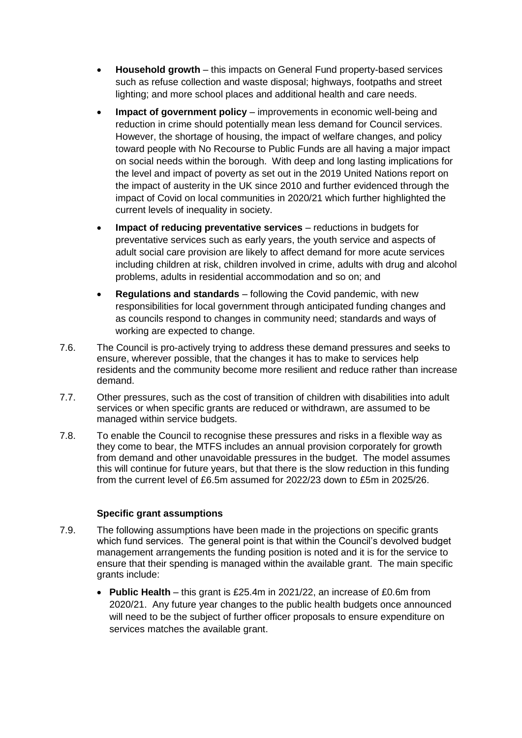- **Household growth** this impacts on General Fund property-based services such as refuse collection and waste disposal; highways, footpaths and street lighting; and more school places and additional health and care needs.
- **Impact of government policy** improvements in economic well-being and reduction in crime should potentially mean less demand for Council services. However, the shortage of housing, the impact of welfare changes, and policy toward people with No Recourse to Public Funds are all having a major impact on social needs within the borough. With deep and long lasting implications for the level and impact of poverty as set out in the 2019 United Nations report on the impact of austerity in the UK since 2010 and further evidenced through the impact of Covid on local communities in 2020/21 which further highlighted the current levels of inequality in society.
- **Impact of reducing preventative services** reductions in budgets for preventative services such as early years, the youth service and aspects of adult social care provision are likely to affect demand for more acute services including children at risk, children involved in crime, adults with drug and alcohol problems, adults in residential accommodation and so on; and
- **Regulations and standards** following the Covid pandemic, with new responsibilities for local government through anticipated funding changes and as councils respond to changes in community need; standards and ways of working are expected to change.
- 7.6. The Council is pro-actively trying to address these demand pressures and seeks to ensure, wherever possible, that the changes it has to make to services help residents and the community become more resilient and reduce rather than increase demand.
- 7.7. Other pressures, such as the cost of transition of children with disabilities into adult services or when specific grants are reduced or withdrawn, are assumed to be managed within service budgets.
- 7.8. To enable the Council to recognise these pressures and risks in a flexible way as they come to bear, the MTFS includes an annual provision corporately for growth from demand and other unavoidable pressures in the budget. The model assumes this will continue for future years, but that there is the slow reduction in this funding from the current level of £6.5m assumed for 2022/23 down to £5m in 2025/26.

#### **Specific grant assumptions**

- 7.9. The following assumptions have been made in the projections on specific grants which fund services. The general point is that within the Council's devolved budget management arrangements the funding position is noted and it is for the service to ensure that their spending is managed within the available grant. The main specific grants include:
	- **Public Health** this grant is £25.4m in 2021/22, an increase of £0.6m from 2020/21. Any future year changes to the public health budgets once announced will need to be the subject of further officer proposals to ensure expenditure on services matches the available grant.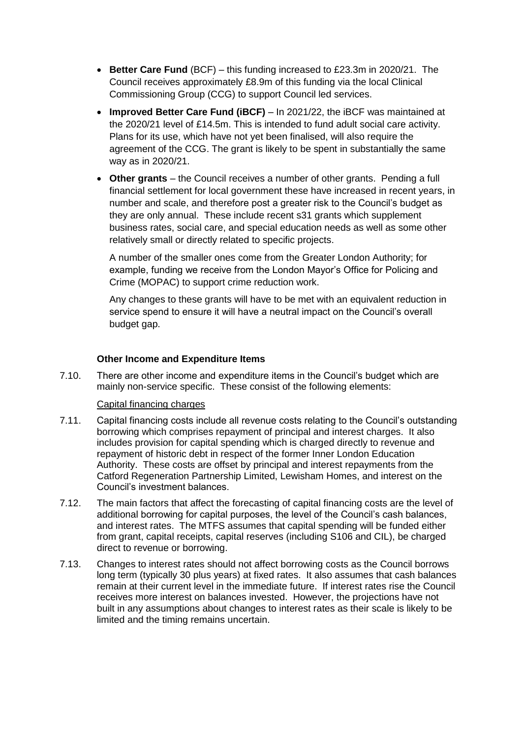- **Better Care Fund** (BCF) this funding increased to £23.3m in 2020/21. The Council receives approximately £8.9m of this funding via the local Clinical Commissioning Group (CCG) to support Council led services.
- **Improved Better Care Fund (iBCF)** In 2021/22, the iBCF was maintained at the 2020/21 level of £14.5m. This is intended to fund adult social care activity. Plans for its use, which have not yet been finalised, will also require the agreement of the CCG. The grant is likely to be spent in substantially the same way as in 2020/21.
- **Other grants** the Council receives a number of other grants. Pending a full financial settlement for local government these have increased in recent years, in number and scale, and therefore post a greater risk to the Council's budget as they are only annual. These include recent s31 grants which supplement business rates, social care, and special education needs as well as some other relatively small or directly related to specific projects.

A number of the smaller ones come from the Greater London Authority; for example, funding we receive from the London Mayor's Office for Policing and Crime (MOPAC) to support crime reduction work.

Any changes to these grants will have to be met with an equivalent reduction in service spend to ensure it will have a neutral impact on the Council's overall budget gap.

#### **Other Income and Expenditure Items**

7.10. There are other income and expenditure items in the Council's budget which are mainly non-service specific. These consist of the following elements:

#### Capital financing charges

- 7.11. Capital financing costs include all revenue costs relating to the Council's outstanding borrowing which comprises repayment of principal and interest charges. It also includes provision for capital spending which is charged directly to revenue and repayment of historic debt in respect of the former Inner London Education Authority. These costs are offset by principal and interest repayments from the Catford Regeneration Partnership Limited, Lewisham Homes, and interest on the Council's investment balances.
- 7.12. The main factors that affect the forecasting of capital financing costs are the level of additional borrowing for capital purposes, the level of the Council's cash balances, and interest rates. The MTFS assumes that capital spending will be funded either from grant, capital receipts, capital reserves (including S106 and CIL), be charged direct to revenue or borrowing.
- 7.13. Changes to interest rates should not affect borrowing costs as the Council borrows long term (typically 30 plus years) at fixed rates. It also assumes that cash balances remain at their current level in the immediate future. If interest rates rise the Council receives more interest on balances invested. However, the projections have not built in any assumptions about changes to interest rates as their scale is likely to be limited and the timing remains uncertain.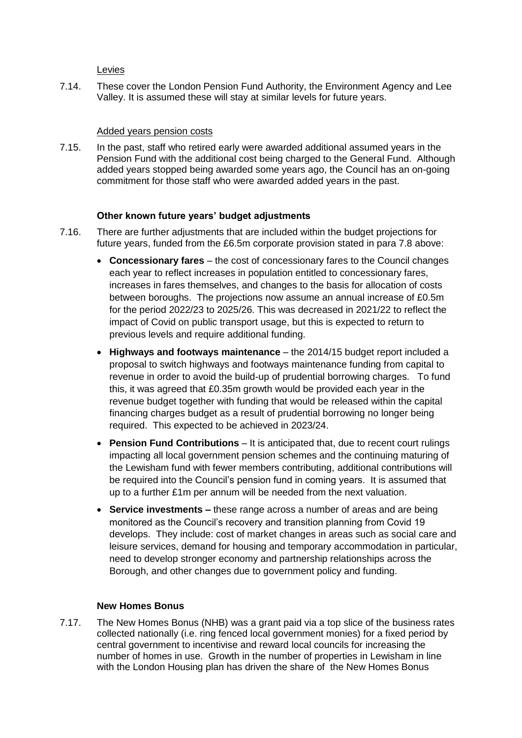Levies

7.14. These cover the London Pension Fund Authority, the Environment Agency and Lee Valley. It is assumed these will stay at similar levels for future years.

#### Added years pension costs

7.15. In the past, staff who retired early were awarded additional assumed years in the Pension Fund with the additional cost being charged to the General Fund. Although added years stopped being awarded some years ago, the Council has an on-going commitment for those staff who were awarded added years in the past.

#### **Other known future years' budget adjustments**

- 7.16. There are further adjustments that are included within the budget projections for future years, funded from the £6.5m corporate provision stated in para 7.8 above:
	- **Concessionary fares** the cost of concessionary fares to the Council changes each year to reflect increases in population entitled to concessionary fares, increases in fares themselves, and changes to the basis for allocation of costs between boroughs. The projections now assume an annual increase of £0.5m for the period 2022/23 to 2025/26. This was decreased in 2021/22 to reflect the impact of Covid on public transport usage, but this is expected to return to previous levels and require additional funding.
	- **Highways and footways maintenance** the 2014/15 budget report included a proposal to switch highways and footways maintenance funding from capital to revenue in order to avoid the build-up of prudential borrowing charges. To fund this, it was agreed that £0.35m growth would be provided each year in the revenue budget together with funding that would be released within the capital financing charges budget as a result of prudential borrowing no longer being required. This expected to be achieved in 2023/24.
	- **Pension Fund Contributions** *–* It is anticipated that, due to recent court rulings impacting all local government pension schemes and the continuing maturing of the Lewisham fund with fewer members contributing, additional contributions will be required into the Council's pension fund in coming years. It is assumed that up to a further £1m per annum will be needed from the next valuation.
	- **Service investments –** these range across a number of areas and are being monitored as the Council's recovery and transition planning from Covid 19 develops. They include: cost of market changes in areas such as social care and leisure services, demand for housing and temporary accommodation in particular, need to develop stronger economy and partnership relationships across the Borough, and other changes due to government policy and funding.

#### **New Homes Bonus**

7.17. The New Homes Bonus (NHB) was a grant paid via a top slice of the business rates collected nationally (i.e. ring fenced local government monies) for a fixed period by central government to incentivise and reward local councils for increasing the number of homes in use. Growth in the number of properties in Lewisham in line with the London Housing plan has driven the share of the New Homes Bonus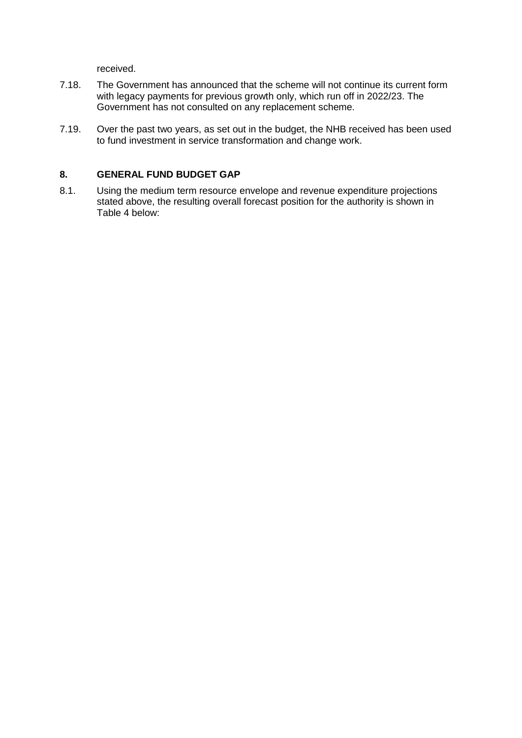received.

- 7.18. The Government has announced that the scheme will not continue its current form with legacy payments for previous growth only, which run off in 2022/23. The Government has not consulted on any replacement scheme.
- 7.19. Over the past two years, as set out in the budget, the NHB received has been used to fund investment in service transformation and change work.

### **8. GENERAL FUND BUDGET GAP**

8.1. Using the medium term resource envelope and revenue expenditure projections stated above, the resulting overall forecast position for the authority is shown in Table 4 below: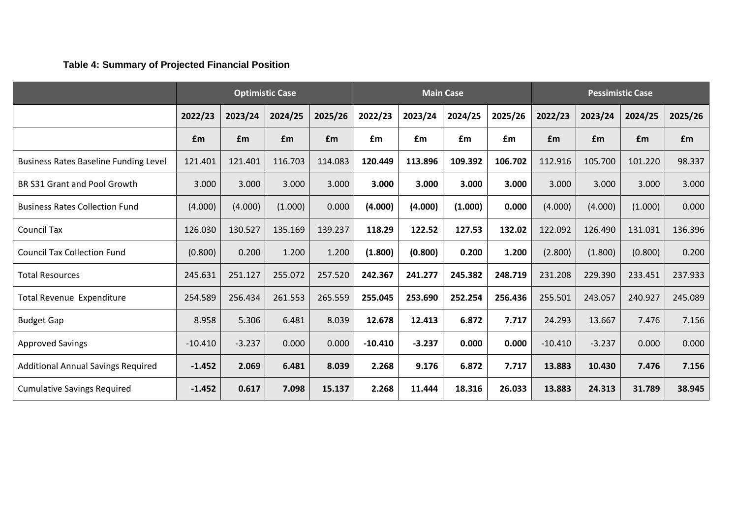# **Table 4: Summary of Projected Financial Position**

|                                              | <b>Optimistic Case</b> |          |         | <b>Main Case</b> |           |          | <b>Pessimistic Case</b> |         |            |          |         |         |
|----------------------------------------------|------------------------|----------|---------|------------------|-----------|----------|-------------------------|---------|------------|----------|---------|---------|
|                                              | 2022/23                | 2023/24  | 2024/25 | 2025/26          | 2022/23   | 2023/24  | 2024/25                 | 2025/26 | 2022/23    | 2023/24  | 2024/25 | 2025/26 |
|                                              | £m                     | £m       | £m      | £m               | £m        | £m       | £m                      | £m      | <b>f</b> m | £m       | £m      | £m      |
| <b>Business Rates Baseline Funding Level</b> | 121.401                | 121.401  | 116.703 | 114.083          | 120.449   | 113.896  | 109.392                 | 106.702 | 112.916    | 105.700  | 101.220 | 98.337  |
| BR S31 Grant and Pool Growth                 | 3.000                  | 3.000    | 3.000   | 3.000            | 3.000     | 3.000    | 3.000                   | 3.000   | 3.000      | 3.000    | 3.000   | 3.000   |
| <b>Business Rates Collection Fund</b>        | (4.000)                | (4.000)  | (1.000) | 0.000            | (4.000)   | (4.000)  | (1.000)                 | 0.000   | (4.000)    | (4.000)  | (1.000) | 0.000   |
| <b>Council Tax</b>                           | 126.030                | 130.527  | 135.169 | 139.237          | 118.29    | 122.52   | 127.53                  | 132.02  | 122.092    | 126.490  | 131.031 | 136.396 |
| <b>Council Tax Collection Fund</b>           | (0.800)                | 0.200    | 1.200   | 1.200            | (1.800)   | (0.800)  | 0.200                   | 1.200   | (2.800)    | (1.800)  | (0.800) | 0.200   |
| <b>Total Resources</b>                       | 245.631                | 251.127  | 255.072 | 257.520          | 242.367   | 241.277  | 245.382                 | 248.719 | 231.208    | 229.390  | 233.451 | 237.933 |
| Total Revenue Expenditure                    | 254.589                | 256.434  | 261.553 | 265.559          | 255.045   | 253.690  | 252.254                 | 256.436 | 255.501    | 243.057  | 240.927 | 245.089 |
| <b>Budget Gap</b>                            | 8.958                  | 5.306    | 6.481   | 8.039            | 12.678    | 12.413   | 6.872                   | 7.717   | 24.293     | 13.667   | 7.476   | 7.156   |
| <b>Approved Savings</b>                      | $-10.410$              | $-3.237$ | 0.000   | 0.000            | $-10.410$ | $-3.237$ | 0.000                   | 0.000   | $-10.410$  | $-3.237$ | 0.000   | 0.000   |
| <b>Additional Annual Savings Required</b>    | $-1.452$               | 2.069    | 6.481   | 8.039            | 2.268     | 9.176    | 6.872                   | 7.717   | 13.883     | 10.430   | 7.476   | 7.156   |
| <b>Cumulative Savings Required</b>           | $-1.452$               | 0.617    | 7.098   | 15.137           | 2.268     | 11.444   | 18.316                  | 26.033  | 13.883     | 24.313   | 31.789  | 38.945  |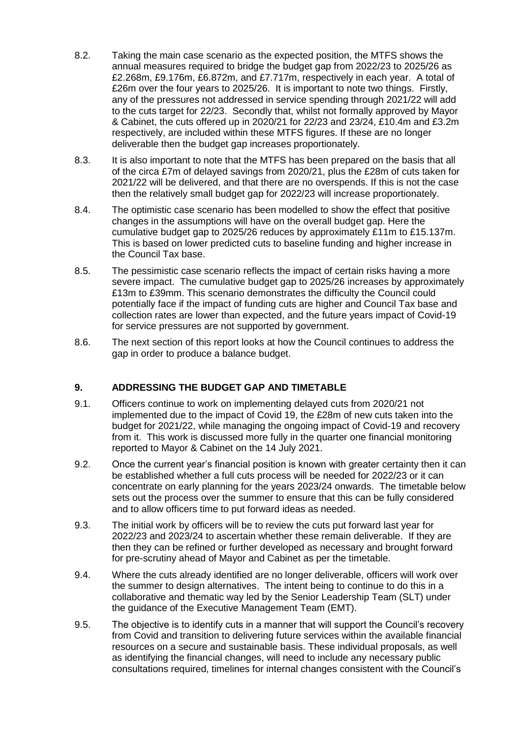- 8.2. Taking the main case scenario as the expected position, the MTFS shows the annual measures required to bridge the budget gap from 2022/23 to 2025/26 as £2.268m, £9.176m, £6.872m, and £7.717m, respectively in each year. A total of £26m over the four years to 2025/26. It is important to note two things. Firstly, any of the pressures not addressed in service spending through 2021/22 will add to the cuts target for 22/23. Secondly that, whilst not formally approved by Mayor & Cabinet, the cuts offered up in 2020/21 for 22/23 and 23/24, £10.4m and £3.2m respectively, are included within these MTFS figures. If these are no longer deliverable then the budget gap increases proportionately.
- 8.3. It is also important to note that the MTFS has been prepared on the basis that all of the circa £7m of delayed savings from 2020/21, plus the £28m of cuts taken for 2021/22 will be delivered, and that there are no overspends. If this is not the case then the relatively small budget gap for 2022/23 will increase proportionately.
- 8.4. The optimistic case scenario has been modelled to show the effect that positive changes in the assumptions will have on the overall budget gap. Here the cumulative budget gap to 2025/26 reduces by approximately £11m to £15.137m. This is based on lower predicted cuts to baseline funding and higher increase in the Council Tax base.
- 8.5. The pessimistic case scenario reflects the impact of certain risks having a more severe impact. The cumulative budget gap to 2025/26 increases by approximately £13m to £39mm. This scenario demonstrates the difficulty the Council could potentially face if the impact of funding cuts are higher and Council Tax base and collection rates are lower than expected, and the future years impact of Covid-19 for service pressures are not supported by government.
- 8.6. The next section of this report looks at how the Council continues to address the gap in order to produce a balance budget.

# **9. ADDRESSING THE BUDGET GAP AND TIMETABLE**

- 9.1. Officers continue to work on implementing delayed cuts from 2020/21 not implemented due to the impact of Covid 19, the £28m of new cuts taken into the budget for 2021/22, while managing the ongoing impact of Covid-19 and recovery from it. This work is discussed more fully in the quarter one financial monitoring reported to Mayor & Cabinet on the 14 July 2021.
- 9.2. Once the current year's financial position is known with greater certainty then it can be established whether a full cuts process will be needed for 2022/23 or it can concentrate on early planning for the years 2023/24 onwards. The timetable below sets out the process over the summer to ensure that this can be fully considered and to allow officers time to put forward ideas as needed.
- 9.3. The initial work by officers will be to review the cuts put forward last year for 2022/23 and 2023/24 to ascertain whether these remain deliverable. If they are then they can be refined or further developed as necessary and brought forward for pre-scrutiny ahead of Mayor and Cabinet as per the timetable.
- 9.4. Where the cuts already identified are no longer deliverable, officers will work over the summer to design alternatives. The intent being to continue to do this in a collaborative and thematic way led by the Senior Leadership Team (SLT) under the guidance of the Executive Management Team (EMT).
- 9.5. The objective is to identify cuts in a manner that will support the Council's recovery from Covid and transition to delivering future services within the available financial resources on a secure and sustainable basis. These individual proposals, as well as identifying the financial changes, will need to include any necessary public consultations required, timelines for internal changes consistent with the Council's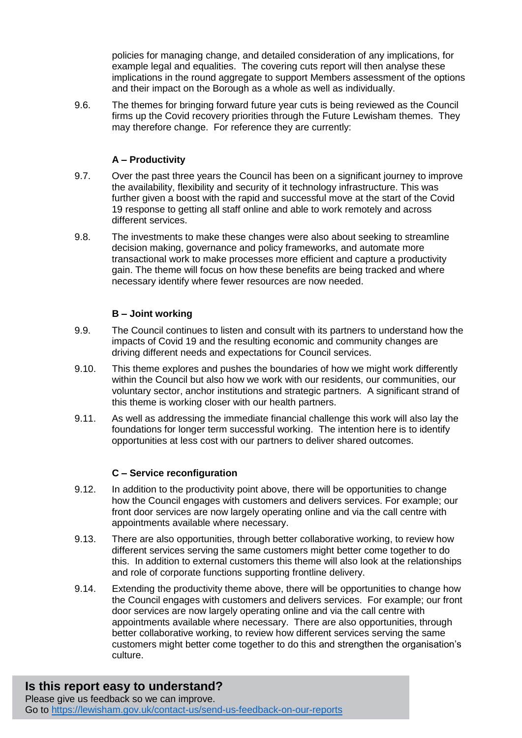policies for managing change, and detailed consideration of any implications, for example legal and equalities. The covering cuts report will then analyse these implications in the round aggregate to support Members assessment of the options and their impact on the Borough as a whole as well as individually.

9.6. The themes for bringing forward future year cuts is being reviewed as the Council firms up the Covid recovery priorities through the Future Lewisham themes. They may therefore change. For reference they are currently:

# **A – Productivity**

- 9.7. Over the past three years the Council has been on a significant journey to improve the availability, flexibility and security of it technology infrastructure. This was further given a boost with the rapid and successful move at the start of the Covid 19 response to getting all staff online and able to work remotely and across different services.
- 9.8. The investments to make these changes were also about seeking to streamline decision making, governance and policy frameworks, and automate more transactional work to make processes more efficient and capture a productivity gain. The theme will focus on how these benefits are being tracked and where necessary identify where fewer resources are now needed.

# **B – Joint working**

- 9.9. The Council continues to listen and consult with its partners to understand how the impacts of Covid 19 and the resulting economic and community changes are driving different needs and expectations for Council services.
- 9.10. This theme explores and pushes the boundaries of how we might work differently within the Council but also how we work with our residents, our communities, our voluntary sector, anchor institutions and strategic partners. A significant strand of this theme is working closer with our health partners.
- 9.11. As well as addressing the immediate financial challenge this work will also lay the foundations for longer term successful working. The intention here is to identify opportunities at less cost with our partners to deliver shared outcomes.

# **C – Service reconfiguration**

- 9.12. In addition to the productivity point above, there will be opportunities to change how the Council engages with customers and delivers services. For example; our front door services are now largely operating online and via the call centre with appointments available where necessary.
- 9.13. There are also opportunities, through better collaborative working, to review how different services serving the same customers might better come together to do this. In addition to external customers this theme will also look at the relationships and role of corporate functions supporting frontline delivery.
- 9.14. Extending the productivity theme above, there will be opportunities to change how the Council engages with customers and delivers services. For example; our front door services are now largely operating online and via the call centre with appointments available where necessary. There are also opportunities, through better collaborative working, to review how different services serving the same customers might better come together to do this and strengthen the organisation's culture.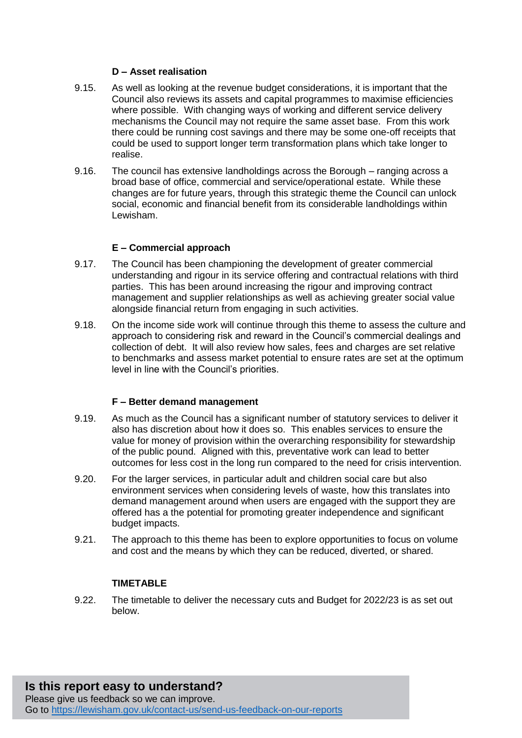### **D – Asset realisation**

- 9.15. As well as looking at the revenue budget considerations, it is important that the Council also reviews its assets and capital programmes to maximise efficiencies where possible. With changing ways of working and different service delivery mechanisms the Council may not require the same asset base. From this work there could be running cost savings and there may be some one-off receipts that could be used to support longer term transformation plans which take longer to realise.
- 9.16. The council has extensive landholdings across the Borough ranging across a broad base of office, commercial and service/operational estate. While these changes are for future years, through this strategic theme the Council can unlock social, economic and financial benefit from its considerable landholdings within Lewisham.

#### **E – Commercial approach**

- 9.17. The Council has been championing the development of greater commercial understanding and rigour in its service offering and contractual relations with third parties. This has been around increasing the rigour and improving contract management and supplier relationships as well as achieving greater social value alongside financial return from engaging in such activities.
- 9.18. On the income side work will continue through this theme to assess the culture and approach to considering risk and reward in the Council's commercial dealings and collection of debt. It will also review how sales, fees and charges are set relative to benchmarks and assess market potential to ensure rates are set at the optimum level in line with the Council's priorities.

#### **F – Better demand management**

- 9.19. As much as the Council has a significant number of statutory services to deliver it also has discretion about how it does so. This enables services to ensure the value for money of provision within the overarching responsibility for stewardship of the public pound. Aligned with this, preventative work can lead to better outcomes for less cost in the long run compared to the need for crisis intervention.
- 9.20. For the larger services, in particular adult and children social care but also environment services when considering levels of waste, how this translates into demand management around when users are engaged with the support they are offered has a the potential for promoting greater independence and significant budget impacts.
- 9.21. The approach to this theme has been to explore opportunities to focus on volume and cost and the means by which they can be reduced, diverted, or shared.

# **TIMETABLE**

9.22. The timetable to deliver the necessary cuts and Budget for 2022/23 is as set out below.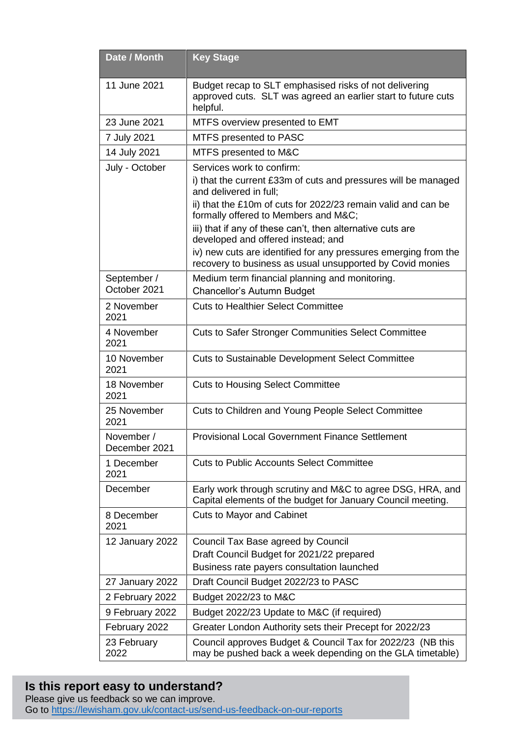| Date / Month                | <b>Key Stage</b>                                                                                                                    |
|-----------------------------|-------------------------------------------------------------------------------------------------------------------------------------|
| 11 June 2021                | Budget recap to SLT emphasised risks of not delivering<br>approved cuts. SLT was agreed an earlier start to future cuts<br>helpful. |
| 23 June 2021                | MTFS overview presented to EMT                                                                                                      |
| 7 July 2021                 | MTFS presented to PASC                                                                                                              |
| 14 July 2021                | MTFS presented to M&C                                                                                                               |
| July - October              | Services work to confirm:                                                                                                           |
|                             | i) that the current £33m of cuts and pressures will be managed<br>and delivered in full;                                            |
|                             | ii) that the £10m of cuts for 2022/23 remain valid and can be<br>formally offered to Members and M&C                                |
|                             | iii) that if any of these can't, then alternative cuts are<br>developed and offered instead; and                                    |
|                             | iv) new cuts are identified for any pressures emerging from the<br>recovery to business as usual unsupported by Covid monies        |
| September /                 | Medium term financial planning and monitoring.                                                                                      |
| October 2021                | Chancellor's Autumn Budget                                                                                                          |
| 2 November<br>2021          | <b>Cuts to Healthier Select Committee</b>                                                                                           |
| 4 November<br>2021          | <b>Cuts to Safer Stronger Communities Select Committee</b>                                                                          |
| 10 November<br>2021         | <b>Cuts to Sustainable Development Select Committee</b>                                                                             |
| 18 November<br>2021         | <b>Cuts to Housing Select Committee</b>                                                                                             |
| 25 November<br>2021         | Cuts to Children and Young People Select Committee                                                                                  |
| November /<br>December 2021 | <b>Provisional Local Government Finance Settlement</b>                                                                              |
| 1 December<br>2021          | <b>Cuts to Public Accounts Select Committee</b>                                                                                     |
| December                    | Early work through scrutiny and M&C to agree DSG, HRA, and<br>Capital elements of the budget for January Council meeting.           |
| 8 December<br>2021          | <b>Cuts to Mayor and Cabinet</b>                                                                                                    |
| 12 January 2022             | Council Tax Base agreed by Council                                                                                                  |
|                             | Draft Council Budget for 2021/22 prepared                                                                                           |
|                             | Business rate payers consultation launched                                                                                          |
| 27 January 2022             | Draft Council Budget 2022/23 to PASC                                                                                                |
| 2 February 2022             | Budget 2022/23 to M&C                                                                                                               |
| 9 February 2022             | Budget 2022/23 Update to M&C (if required)                                                                                          |
| February 2022               | Greater London Authority sets their Precept for 2022/23                                                                             |
| 23 February<br>2022         | Council approves Budget & Council Tax for 2022/23 (NB this<br>may be pushed back a week depending on the GLA timetable)             |

# **Is this report easy to understand?**

Please give us feedback so we can improve. Go to<https://lewisham.gov.uk/contact-us/send-us-feedback-on-our-reports>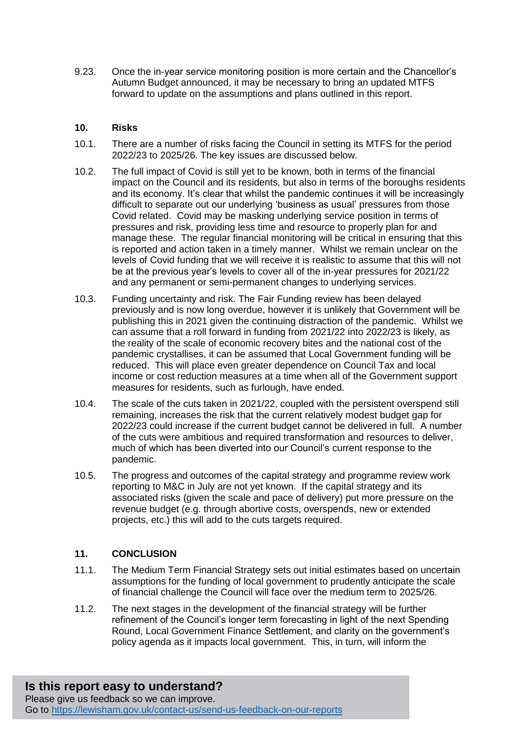9.23. Once the in-year service monitoring position is more certain and the Chancellor's Autumn Budget announced, it may be necessary to bring an updated MTFS forward to update on the assumptions and plans outlined in this report.

### **10. Risks**

- 10.1. There are a number of risks facing the Council in setting its MTFS for the period 2022/23 to 2025/26. The key issues are discussed below.
- 10.2. The full impact of Covid is still yet to be known, both in terms of the financial impact on the Council and its residents, but also in terms of the boroughs residents and its economy. It's clear that whilst the pandemic continues it will be increasingly difficult to separate out our underlying 'business as usual' pressures from those Covid related. Covid may be masking underlying service position in terms of pressures and risk, providing less time and resource to properly plan for and manage these. The regular financial monitoring will be critical in ensuring that this is reported and action taken in a timely manner. Whilst we remain unclear on the levels of Covid funding that we will receive it is realistic to assume that this will not be at the previous year's levels to cover all of the in-year pressures for 2021/22 and any permanent or semi-permanent changes to underlying services.
- 10.3. Funding uncertainty and risk. The Fair Funding review has been delayed previously and is now long overdue, however it is unlikely that Government will be publishing this in 2021 given the continuing distraction of the pandemic. Whilst we can assume that a roll forward in funding from 2021/22 into 2022/23 is likely, as the reality of the scale of economic recovery bites and the national cost of the pandemic crystallises, it can be assumed that Local Government funding will be reduced. This will place even greater dependence on Council Tax and local income or cost reduction measures at a time when all of the Government support measures for residents, such as furlough, have ended.
- 10.4. The scale of the cuts taken in 2021/22, coupled with the persistent overspend still remaining, increases the risk that the current relatively modest budget gap for 2022/23 could increase if the current budget cannot be delivered in full. A number of the cuts were ambitious and required transformation and resources to deliver, much of which has been diverted into our Council's current response to the pandemic.
- 10.5. The progress and outcomes of the capital strategy and programme review work reporting to M&C in July are not yet known. If the capital strategy and its associated risks (given the scale and pace of delivery) put more pressure on the revenue budget (e.g. through abortive costs, overspends, new or extended projects, etc.) this will add to the cuts targets required.

# **11. CONCLUSION**

- 11.1. The Medium Term Financial Strategy sets out initial estimates based on uncertain assumptions for the funding of local government to prudently anticipate the scale of financial challenge the Council will face over the medium term to 2025/26.
- 11.2. The next stages in the development of the financial strategy will be further refinement of the Council's longer term forecasting in light of the next Spending Round, Local Government Finance Settlement, and clarity on the government's policy agenda as it impacts local government. This, in turn, will inform the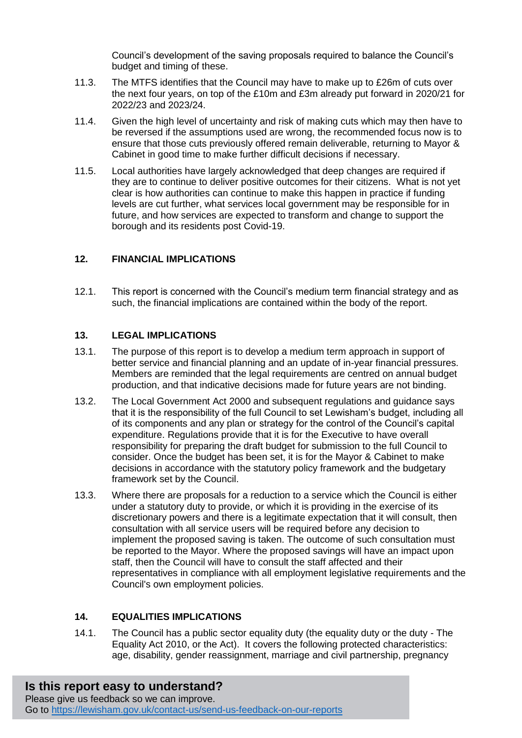Council's development of the saving proposals required to balance the Council's budget and timing of these.

- 11.3. The MTFS identifies that the Council may have to make up to £26m of cuts over the next four years, on top of the £10m and £3m already put forward in 2020/21 for 2022/23 and 2023/24.
- 11.4. Given the high level of uncertainty and risk of making cuts which may then have to be reversed if the assumptions used are wrong, the recommended focus now is to ensure that those cuts previously offered remain deliverable, returning to Mayor & Cabinet in good time to make further difficult decisions if necessary.
- 11.5. Local authorities have largely acknowledged that deep changes are required if they are to continue to deliver positive outcomes for their citizens. What is not yet clear is how authorities can continue to make this happen in practice if funding levels are cut further, what services local government may be responsible for in future, and how services are expected to transform and change to support the borough and its residents post Covid-19.

# **12. FINANCIAL IMPLICATIONS**

12.1. This report is concerned with the Council's medium term financial strategy and as such, the financial implications are contained within the body of the report.

# **13. LEGAL IMPLICATIONS**

- 13.1. The purpose of this report is to develop a medium term approach in support of better service and financial planning and an update of in-year financial pressures. Members are reminded that the legal requirements are centred on annual budget production, and that indicative decisions made for future years are not binding.
- 13.2. The Local Government Act 2000 and subsequent regulations and guidance says that it is the responsibility of the full Council to set Lewisham's budget, including all of its components and any plan or strategy for the control of the Council's capital expenditure. Regulations provide that it is for the Executive to have overall responsibility for preparing the draft budget for submission to the full Council to consider. Once the budget has been set, it is for the Mayor & Cabinet to make decisions in accordance with the statutory policy framework and the budgetary framework set by the Council.
- 13.3. Where there are proposals for a reduction to a service which the Council is either under a statutory duty to provide, or which it is providing in the exercise of its discretionary powers and there is a legitimate expectation that it will consult, then consultation with all service users will be required before any decision to implement the proposed saving is taken. The outcome of such consultation must be reported to the Mayor. Where the proposed savings will have an impact upon staff, then the Council will have to consult the staff affected and their representatives in compliance with all employment legislative requirements and the Council's own employment policies.

# **14. EQUALITIES IMPLICATIONS**

14.1. The Council has a public sector equality duty (the equality duty or the duty - The Equality Act 2010, or the Act). It covers the following protected characteristics: age, disability, gender reassignment, marriage and civil partnership, pregnancy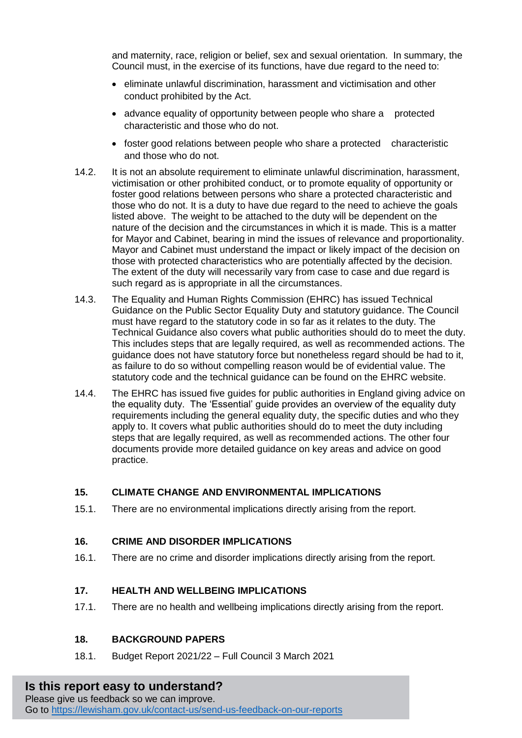and maternity, race, religion or belief, sex and sexual orientation. In summary, the Council must, in the exercise of its functions, have due regard to the need to:

- eliminate unlawful discrimination, harassment and victimisation and other conduct prohibited by the Act.
- advance equality of opportunity between people who share a protected characteristic and those who do not.
- foster good relations between people who share a protected characteristic and those who do not.
- 14.2. It is not an absolute requirement to eliminate unlawful discrimination, harassment, victimisation or other prohibited conduct, or to promote equality of opportunity or foster good relations between persons who share a protected characteristic and those who do not. It is a duty to have due regard to the need to achieve the goals listed above. The weight to be attached to the duty will be dependent on the nature of the decision and the circumstances in which it is made. This is a matter for Mayor and Cabinet, bearing in mind the issues of relevance and proportionality. Mayor and Cabinet must understand the impact or likely impact of the decision on those with protected characteristics who are potentially affected by the decision. The extent of the duty will necessarily vary from case to case and due regard is such regard as is appropriate in all the circumstances.
- 14.3. The Equality and Human Rights Commission (EHRC) has issued Technical Guidance on the Public Sector Equality Duty and statutory guidance. The Council must have regard to the statutory code in so far as it relates to the duty. The Technical Guidance also covers what public authorities should do to meet the duty. This includes steps that are legally required, as well as recommended actions. The guidance does not have statutory force but nonetheless regard should be had to it, as failure to do so without compelling reason would be of evidential value. The statutory code and the technical guidance can be found on the EHRC website.
- 14.4. The EHRC has issued five guides for public authorities in England giving advice on the equality duty. The 'Essential' guide provides an overview of the equality duty requirements including the general equality duty, the specific duties and who they apply to. It covers what public authorities should do to meet the duty including steps that are legally required, as well as recommended actions. The other four documents provide more detailed guidance on key areas and advice on good practice.

# **15. CLIMATE CHANGE AND ENVIRONMENTAL IMPLICATIONS**

15.1. There are no environmental implications directly arising from the report.

#### **16. CRIME AND DISORDER IMPLICATIONS**

16.1. There are no crime and disorder implications directly arising from the report.

#### **17. HEALTH AND WELLBEING IMPLICATIONS**

17.1. There are no health and wellbeing implications directly arising from the report.

# **18. BACKGROUND PAPERS**

18.1. Budget Report 2021/22 – Full Council 3 March 2021

# **Is this report easy to understand?**

Please give us feedback so we can improve. Go to<https://lewisham.gov.uk/contact-us/send-us-feedback-on-our-reports>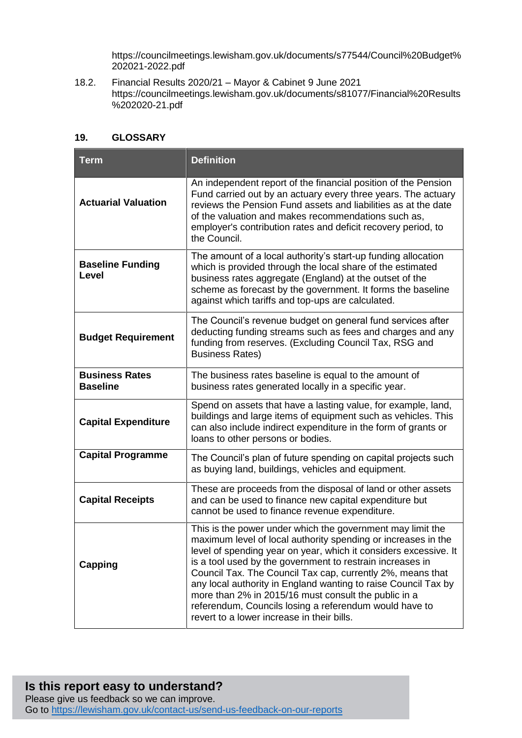https://councilmeetings.lewisham.gov.uk/documents/s77544/Council%20Budget% 202021-2022.pdf

18.2. Financial Results 2020/21 – Mayor & Cabinet 9 June 2021 https://councilmeetings.lewisham.gov.uk/documents/s81077/Financial%20Results %202020-21.pdf

### **19. GLOSSARY**

| <b>Term</b>                              | <b>Definition</b>                                                                                                                                                                                                                                                                                                                                                                                                                                                                                                                                            |
|------------------------------------------|--------------------------------------------------------------------------------------------------------------------------------------------------------------------------------------------------------------------------------------------------------------------------------------------------------------------------------------------------------------------------------------------------------------------------------------------------------------------------------------------------------------------------------------------------------------|
| <b>Actuarial Valuation</b>               | An independent report of the financial position of the Pension<br>Fund carried out by an actuary every three years. The actuary<br>reviews the Pension Fund assets and liabilities as at the date<br>of the valuation and makes recommendations such as,<br>employer's contribution rates and deficit recovery period, to<br>the Council.                                                                                                                                                                                                                    |
| <b>Baseline Funding</b><br><b>Level</b>  | The amount of a local authority's start-up funding allocation<br>which is provided through the local share of the estimated<br>business rates aggregate (England) at the outset of the<br>scheme as forecast by the government. It forms the baseline<br>against which tariffs and top-ups are calculated.                                                                                                                                                                                                                                                   |
| <b>Budget Requirement</b>                | The Council's revenue budget on general fund services after<br>deducting funding streams such as fees and charges and any<br>funding from reserves. (Excluding Council Tax, RSG and<br><b>Business Rates)</b>                                                                                                                                                                                                                                                                                                                                                |
| <b>Business Rates</b><br><b>Baseline</b> | The business rates baseline is equal to the amount of<br>business rates generated locally in a specific year.                                                                                                                                                                                                                                                                                                                                                                                                                                                |
| <b>Capital Expenditure</b>               | Spend on assets that have a lasting value, for example, land,<br>buildings and large items of equipment such as vehicles. This<br>can also include indirect expenditure in the form of grants or<br>loans to other persons or bodies.                                                                                                                                                                                                                                                                                                                        |
| <b>Capital Programme</b>                 | The Council's plan of future spending on capital projects such<br>as buying land, buildings, vehicles and equipment.                                                                                                                                                                                                                                                                                                                                                                                                                                         |
| <b>Capital Receipts</b>                  | These are proceeds from the disposal of land or other assets<br>and can be used to finance new capital expenditure but<br>cannot be used to finance revenue expenditure.                                                                                                                                                                                                                                                                                                                                                                                     |
| Capping                                  | This is the power under which the government may limit the<br>maximum level of local authority spending or increases in the<br>level of spending year on year, which it considers excessive. It<br>is a tool used by the government to restrain increases in<br>Council Tax. The Council Tax cap, currently 2%, means that<br>any local authority in England wanting to raise Council Tax by<br>more than 2% in 2015/16 must consult the public in a<br>referendum, Councils losing a referendum would have to<br>revert to a lower increase in their bills. |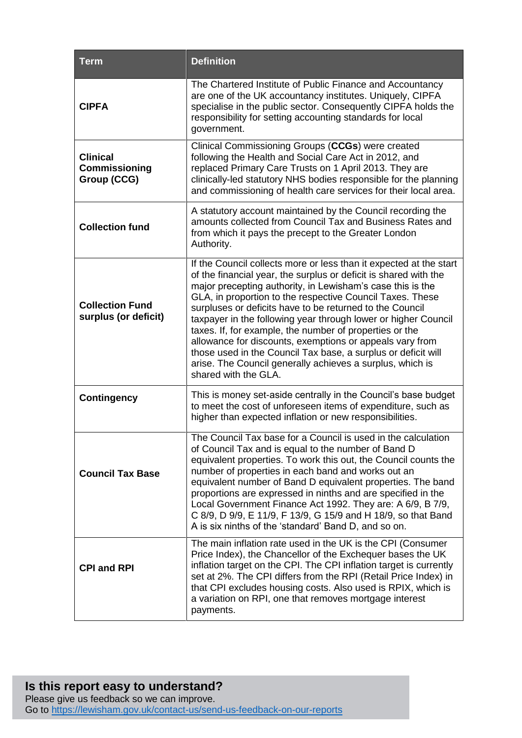| <b>Term</b>                                            | <b>Definition</b>                                                                                                                                                                                                                                                                                                                                                                                                                                                                                                                                                                                                                                                            |
|--------------------------------------------------------|------------------------------------------------------------------------------------------------------------------------------------------------------------------------------------------------------------------------------------------------------------------------------------------------------------------------------------------------------------------------------------------------------------------------------------------------------------------------------------------------------------------------------------------------------------------------------------------------------------------------------------------------------------------------------|
| <b>CIPFA</b>                                           | The Chartered Institute of Public Finance and Accountancy<br>are one of the UK accountancy institutes. Uniquely, CIPFA<br>specialise in the public sector. Consequently CIPFA holds the<br>responsibility for setting accounting standards for local<br>government.                                                                                                                                                                                                                                                                                                                                                                                                          |
| <b>Clinical</b><br><b>Commissioning</b><br>Group (CCG) | Clinical Commissioning Groups (CCGs) were created<br>following the Health and Social Care Act in 2012, and<br>replaced Primary Care Trusts on 1 April 2013. They are<br>clinically-led statutory NHS bodies responsible for the planning<br>and commissioning of health care services for their local area.                                                                                                                                                                                                                                                                                                                                                                  |
| <b>Collection fund</b>                                 | A statutory account maintained by the Council recording the<br>amounts collected from Council Tax and Business Rates and<br>from which it pays the precept to the Greater London<br>Authority.                                                                                                                                                                                                                                                                                                                                                                                                                                                                               |
| <b>Collection Fund</b><br>surplus (or deficit)         | If the Council collects more or less than it expected at the start<br>of the financial year, the surplus or deficit is shared with the<br>major precepting authority, in Lewisham's case this is the<br>GLA, in proportion to the respective Council Taxes. These<br>surpluses or deficits have to be returned to the Council<br>taxpayer in the following year through lower or higher Council<br>taxes. If, for example, the number of properties or the<br>allowance for discounts, exemptions or appeals vary from<br>those used in the Council Tax base, a surplus or deficit will<br>arise. The Council generally achieves a surplus, which is<br>shared with the GLA. |
| <b>Contingency</b>                                     | This is money set-aside centrally in the Council's base budget<br>to meet the cost of unforeseen items of expenditure, such as<br>higher than expected inflation or new responsibilities.                                                                                                                                                                                                                                                                                                                                                                                                                                                                                    |
| <b>Council Tax Base</b>                                | The Council Tax base for a Council is used in the calculation<br>of Council Tax and is equal to the number of Band D<br>equivalent properties. To work this out, the Council counts the<br>number of properties in each band and works out an<br>equivalent number of Band D equivalent properties. The band<br>proportions are expressed in ninths and are specified in the<br>Local Government Finance Act 1992. They are: A 6/9, B 7/9,<br>C 8/9, D 9/9, E 11/9, F 13/9, G 15/9 and H 18/9, so that Band<br>A is six ninths of the 'standard' Band D, and so on.                                                                                                          |
| <b>CPI and RPI</b>                                     | The main inflation rate used in the UK is the CPI (Consumer<br>Price Index), the Chancellor of the Exchequer bases the UK<br>inflation target on the CPI. The CPI inflation target is currently<br>set at 2%. The CPI differs from the RPI (Retail Price Index) in<br>that CPI excludes housing costs. Also used is RPIX, which is<br>a variation on RPI, one that removes mortgage interest<br>payments.                                                                                                                                                                                                                                                                    |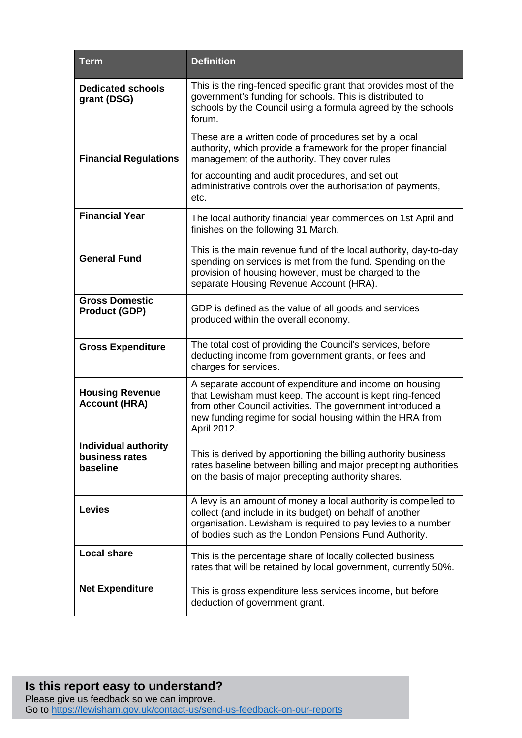| <b>Term</b>                                        | <b>Definition</b>                                                                                                                                                                                                                                             |
|----------------------------------------------------|---------------------------------------------------------------------------------------------------------------------------------------------------------------------------------------------------------------------------------------------------------------|
| <b>Dedicated schools</b><br>grant (DSG)            | This is the ring-fenced specific grant that provides most of the<br>government's funding for schools. This is distributed to<br>schools by the Council using a formula agreed by the schools<br>forum.                                                        |
| <b>Financial Regulations</b>                       | These are a written code of procedures set by a local<br>authority, which provide a framework for the proper financial<br>management of the authority. They cover rules                                                                                       |
|                                                    | for accounting and audit procedures, and set out<br>administrative controls over the authorisation of payments,<br>etc.                                                                                                                                       |
| <b>Financial Year</b>                              | The local authority financial year commences on 1st April and<br>finishes on the following 31 March.                                                                                                                                                          |
| <b>General Fund</b>                                | This is the main revenue fund of the local authority, day-to-day<br>spending on services is met from the fund. Spending on the<br>provision of housing however, must be charged to the<br>separate Housing Revenue Account (HRA).                             |
| <b>Gross Domestic</b><br><b>Product (GDP)</b>      | GDP is defined as the value of all goods and services<br>produced within the overall economy.                                                                                                                                                                 |
| <b>Gross Expenditure</b>                           | The total cost of providing the Council's services, before<br>deducting income from government grants, or fees and<br>charges for services.                                                                                                                   |
| <b>Housing Revenue</b><br><b>Account (HRA)</b>     | A separate account of expenditure and income on housing<br>that Lewisham must keep. The account is kept ring-fenced<br>from other Council activities. The government introduced a<br>new funding regime for social housing within the HRA from<br>April 2012. |
| Individual authority<br>business rates<br>baseline | This is derived by apportioning the billing authority business<br>rates baseline between billing and major precepting authorities<br>on the basis of major precepting authority shares.                                                                       |
| <b>Levies</b>                                      | A levy is an amount of money a local authority is compelled to<br>collect (and include in its budget) on behalf of another<br>organisation. Lewisham is required to pay levies to a number<br>of bodies such as the London Pensions Fund Authority.           |
| <b>Local share</b>                                 | This is the percentage share of locally collected business<br>rates that will be retained by local government, currently 50%.                                                                                                                                 |
| <b>Net Expenditure</b>                             | This is gross expenditure less services income, but before<br>deduction of government grant.                                                                                                                                                                  |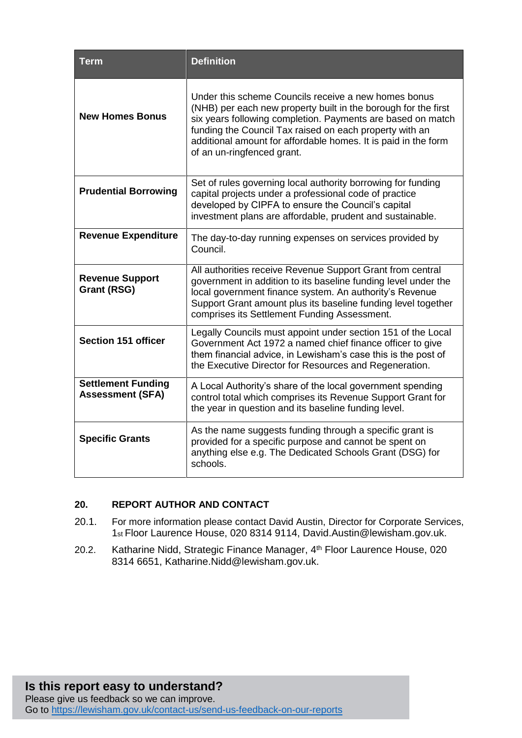| Term                                                 | <b>Definition</b>                                                                                                                                                                                                                                                                                                                                |
|------------------------------------------------------|--------------------------------------------------------------------------------------------------------------------------------------------------------------------------------------------------------------------------------------------------------------------------------------------------------------------------------------------------|
| <b>New Homes Bonus</b>                               | Under this scheme Councils receive a new homes bonus<br>(NHB) per each new property built in the borough for the first<br>six years following completion. Payments are based on match<br>funding the Council Tax raised on each property with an<br>additional amount for affordable homes. It is paid in the form<br>of an un-ringfenced grant. |
| <b>Prudential Borrowing</b>                          | Set of rules governing local authority borrowing for funding<br>capital projects under a professional code of practice<br>developed by CIPFA to ensure the Council's capital<br>investment plans are affordable, prudent and sustainable.                                                                                                        |
| <b>Revenue Expenditure</b>                           | The day-to-day running expenses on services provided by<br>Council.                                                                                                                                                                                                                                                                              |
| <b>Revenue Support</b><br><b>Grant (RSG)</b>         | All authorities receive Revenue Support Grant from central<br>government in addition to its baseline funding level under the<br>local government finance system. An authority's Revenue<br>Support Grant amount plus its baseline funding level together<br>comprises its Settlement Funding Assessment.                                         |
| <b>Section 151 officer</b>                           | Legally Councils must appoint under section 151 of the Local<br>Government Act 1972 a named chief finance officer to give<br>them financial advice, in Lewisham's case this is the post of<br>the Executive Director for Resources and Regeneration.                                                                                             |
| <b>Settlement Funding</b><br><b>Assessment (SFA)</b> | A Local Authority's share of the local government spending<br>control total which comprises its Revenue Support Grant for<br>the year in question and its baseline funding level.                                                                                                                                                                |
| <b>Specific Grants</b>                               | As the name suggests funding through a specific grant is<br>provided for a specific purpose and cannot be spent on<br>anything else e.g. The Dedicated Schools Grant (DSG) for<br>schools.                                                                                                                                                       |

# **20. REPORT AUTHOR AND CONTACT**

- 20.1. For more information please contact David Austin, Director for Corporate Services, 1st Floor Laurence House, 020 8314 9114, David.Austin@lewisham.gov.uk.
- 20.2. Katharine Nidd, Strategic Finance Manager, 4<sup>th</sup> Floor Laurence House, 020 8314 6651, Katharine.Nidd@lewisham.gov.uk.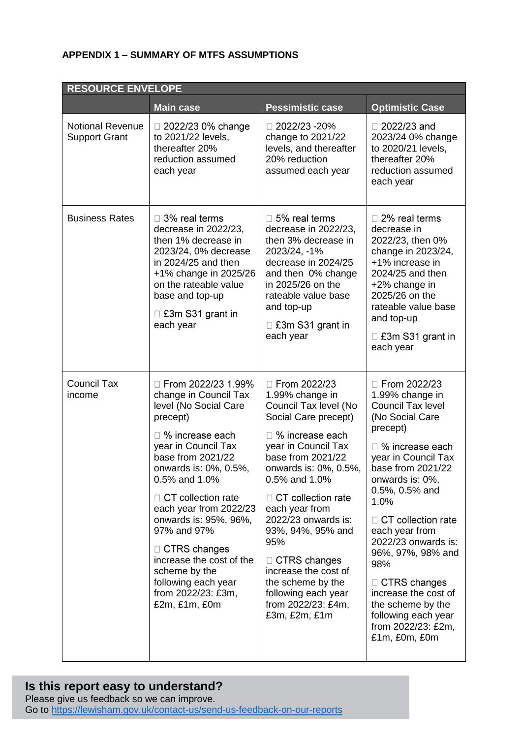# **APPENDIX 1 – SUMMARY OF MTFS ASSUMPTIONS**

| <b>RESOURCE ENVELOPE</b>                        |                                                                                                                                                                                                                                                                                                                                                                                                                      |                                                                                                                                                                                                                                                                                                                                                                                                                                   |                                                                                                                                                                                                                                                                                                                                                                                                                                         |  |  |  |
|-------------------------------------------------|----------------------------------------------------------------------------------------------------------------------------------------------------------------------------------------------------------------------------------------------------------------------------------------------------------------------------------------------------------------------------------------------------------------------|-----------------------------------------------------------------------------------------------------------------------------------------------------------------------------------------------------------------------------------------------------------------------------------------------------------------------------------------------------------------------------------------------------------------------------------|-----------------------------------------------------------------------------------------------------------------------------------------------------------------------------------------------------------------------------------------------------------------------------------------------------------------------------------------------------------------------------------------------------------------------------------------|--|--|--|
|                                                 | <b>Main case</b>                                                                                                                                                                                                                                                                                                                                                                                                     | <b>Pessimistic case</b>                                                                                                                                                                                                                                                                                                                                                                                                           | <b>Optimistic Case</b>                                                                                                                                                                                                                                                                                                                                                                                                                  |  |  |  |
| <b>Notional Revenue</b><br><b>Support Grant</b> | □ 2022/23 0% change<br>to 2021/22 levels,<br>thereafter 20%<br>reduction assumed<br>each year                                                                                                                                                                                                                                                                                                                        | $\Box$ 2022/23 -20%<br>change to 2021/22<br>levels, and thereafter<br>20% reduction<br>assumed each year                                                                                                                                                                                                                                                                                                                          | $\Box$ 2022/23 and<br>2023/24 0% change<br>to 2020/21 levels,<br>thereafter 20%<br>reduction assumed<br>each year                                                                                                                                                                                                                                                                                                                       |  |  |  |
| <b>Business Rates</b>                           | □ 3% real terms<br>decrease in 2022/23,<br>then 1% decrease in<br>2023/24, 0% decrease<br>in 2024/25 and then<br>+1% change in 2025/26<br>on the rateable value<br>base and top-up<br>□ £3m S31 grant in<br>each year                                                                                                                                                                                                | $\Box$ 5% real terms<br>decrease in 2022/23,<br>then 3% decrease in<br>2023/24, -1%<br>decrease in 2024/25<br>and then 0% change<br>in 2025/26 on the<br>rateable value base<br>and top-up<br>□ £3m S31 grant in<br>each year                                                                                                                                                                                                     | $\Box$ 2% real terms<br>decrease in<br>2022/23, then 0%<br>change in 2023/24,<br>+1% increase in<br>2024/25 and then<br>+2% change in<br>2025/26 on the<br>rateable value base<br>and top-up<br>$\Box$ £3m S31 grant in<br>each year                                                                                                                                                                                                    |  |  |  |
| <b>Council Tax</b><br>income                    | □ From 2022/23 1.99%<br>change in Council Tax<br>level (No Social Care<br>precept)<br>□ % increase each<br>year in Council Tax<br>base from 2021/22<br>onwards is: 0%, 0.5%,<br>0.5% and 1.0%<br>□ CT collection rate<br>each year from 2022/23<br>onwards is: 95%, 96%,<br>97% and 97%<br>□ CTRS changes<br>increase the cost of the<br>scheme by the<br>following each year<br>from 2022/23: £3m,<br>£2m, £1m, £0m | □ From 2022/23<br>1.99% change in<br>Council Tax level (No<br>Social Care precept)<br>□ % increase each<br>year in Council Tax<br>base from 2021/22<br>onwards is: 0%, 0.5%,<br>0.5% and 1.0%<br>$\Box$ CT collection rate<br>each year from<br>2022/23 onwards is:<br>93%, 94%, 95% and<br>95%<br>$\Box$ CTRS changes<br>increase the cost of<br>the scheme by the<br>following each year<br>from 2022/23: £4m,<br>£3m, £2m, £1m | □ From 2022/23<br>1.99% change in<br>Council Tax level<br>(No Social Care<br>precept)<br>□ % increase each<br>year in Council Tax<br>base from 2021/22<br>onwards is: 0%,<br>0.5%, 0.5% and<br>1.0%<br>$\Box$ CT collection rate<br>each year from<br>2022/23 onwards is:<br>96%, 97%, 98% and<br>98%<br>$\Box$ CTRS changes<br>increase the cost of<br>the scheme by the<br>following each year<br>from 2022/23: £2m,<br>£1m, £0m, £0m |  |  |  |

# **Is this report easy to understand?**

Please give us feedback so we can improve. Go to<https://lewisham.gov.uk/contact-us/send-us-feedback-on-our-reports>